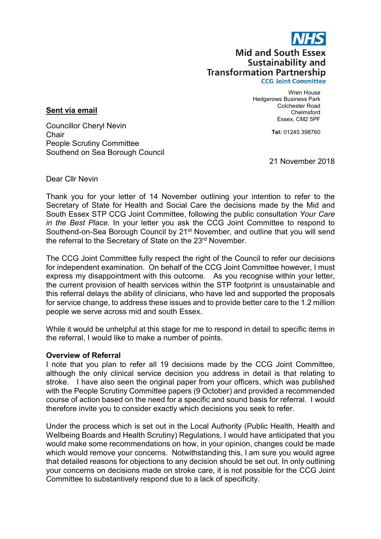

# **Mid and South Essex** Sustainability and **Transformation Partnership**

**CCG Joint Committee** 

Hedgerows Business Park Wren House Colchester Road Chelmsford Essex, CM2 5PF

Tel: 01245 398760

Councillor Cheryl Nevin **Chair** People Scrutiny Committee Southend on Sea Borough Council

21 November 2018

Dear Cllr Nevin

Sent via email

Thank you for your letter of 14 November outlining your intention to refer to the Secretary of State for Health and Social Care the decisions made by the Mid and South Essex STP CCG Joint Committee, following the public consultation Your Care in the Best Place. In your letter you ask the CCG Joint Committee to respond to Southend-on-Sea Borough Council by 21<sup>st</sup> November, and outline that you will send the referral to the Secretary of State on the 23rd November.

The CCG Joint Committee fully respect the right of the Council to refer our decisions for independent examination. On behalf of the CCG Joint Committee however, I must express my disappointment with this outcome. As you recognise within your letter, the current provision of health services within the STP footprint is unsustainable and this referral delays the ability of clinicians, who have led and supported the proposals for service change, to address these issues and to provide better care to the 1.2 million people we serve across mid and south Essex.

While it would be unhelpful at this stage for me to respond in detail to specific items in the referral, I would like to make a number of points.

## Overview of Referral

I note that you plan to refer all 19 decisions made by the CCG Joint Committee, although the only clinical service decision you address in detail is that relating to stroke. I have also seen the original paper from your officers, which was published with the People Scrutiny Committee papers (9 October) and provided a recommended course of action based on the need for a specific and sound basis for referral. I would therefore invite you to consider exactly which decisions you seek to refer.

Under the process which is set out in the Local Authority (Public Health, Health and Wellbeing Boards and Health Scrutiny) Regulations, I would have anticipated that you would make some recommendations on how, in your opinion, changes could be made which would remove your concerns. Notwithstanding this, I am sure you would agree that detailed reasons for objections to any decision should be set out. In only outlining your concerns on decisions made on stroke care, it is not possible for the CCG Joint Committee to substantively respond due to a lack of specificity.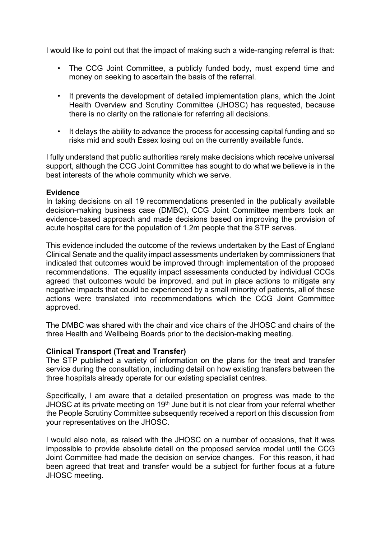I would like to point out that the impact of making such a wide-ranging referral is that:

- The CCG Joint Committee, a publicly funded body, must expend time and money on seeking to ascertain the basis of the referral.
- It prevents the development of detailed implementation plans, which the Joint Health Overview and Scrutiny Committee (JHOSC) has requested, because there is no clarity on the rationale for referring all decisions.
- It delays the ability to advance the process for accessing capital funding and so risks mid and south Essex losing out on the currently available funds.

I fully understand that public authorities rarely make decisions which receive universal support, although the CCG Joint Committee has sought to do what we believe is in the best interests of the whole community which we serve.

## Evidence

In taking decisions on all 19 recommendations presented in the publically available decision-making business case (DMBC), CCG Joint Committee members took an evidence-based approach and made decisions based on improving the provision of acute hospital care for the population of 1.2m people that the STP serves.

This evidence included the outcome of the reviews undertaken by the East of England Clinical Senate and the quality impact assessments undertaken by commissioners that indicated that outcomes would be improved through implementation of the proposed recommendations. The equality impact assessments conducted by individual CCGs agreed that outcomes would be improved, and put in place actions to mitigate any negative impacts that could be experienced by a small minority of patients, all of these actions were translated into recommendations which the CCG Joint Committee approved.

The DMBC was shared with the chair and vice chairs of the JHOSC and chairs of the three Health and Wellbeing Boards prior to the decision-making meeting.

## Clinical Transport (Treat and Transfer)

The STP published a variety of information on the plans for the treat and transfer service during the consultation, including detail on how existing transfers between the three hospitals already operate for our existing specialist centres.

Specifically, I am aware that a detailed presentation on progress was made to the JHOSC at its private meeting on 19<sup>th</sup> June but it is not clear from your referral whether the People Scrutiny Committee subsequently received a report on this discussion from your representatives on the JHOSC.

I would also note, as raised with the JHOSC on a number of occasions, that it was impossible to provide absolute detail on the proposed service model until the CCG Joint Committee had made the decision on service changes. For this reason, it had been agreed that treat and transfer would be a subject for further focus at a future JHOSC meeting.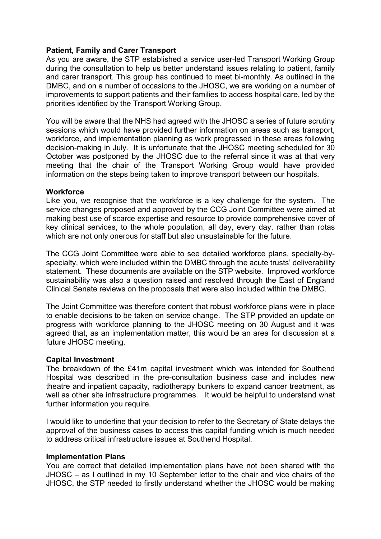## Patient, Family and Carer Transport

As you are aware, the STP established a service user-led Transport Working Group during the consultation to help us better understand issues relating to patient, family and carer transport. This group has continued to meet bi-monthly. As outlined in the DMBC, and on a number of occasions to the JHOSC, we are working on a number of improvements to support patients and their families to access hospital care, led by the priorities identified by the Transport Working Group.

You will be aware that the NHS had agreed with the JHOSC a series of future scrutiny sessions which would have provided further information on areas such as transport, workforce, and implementation planning as work progressed in these areas following decision-making in July. It is unfortunate that the JHOSC meeting scheduled for 30 October was postponed by the JHOSC due to the referral since it was at that very meeting that the chair of the Transport Working Group would have provided information on the steps being taken to improve transport between our hospitals.

#### **Workforce**

Like you, we recognise that the workforce is a key challenge for the system. The service changes proposed and approved by the CCG Joint Committee were aimed at making best use of scarce expertise and resource to provide comprehensive cover of key clinical services, to the whole population, all day, every day, rather than rotas which are not only onerous for staff but also unsustainable for the future.

The CCG Joint Committee were able to see detailed workforce plans, specialty-byspecialty, which were included within the DMBC through the acute trusts' deliverability statement. These documents are available on the STP website. Improved workforce sustainability was also a question raised and resolved through the East of England Clinical Senate reviews on the proposals that were also included within the DMBC.

The Joint Committee was therefore content that robust workforce plans were in place to enable decisions to be taken on service change. The STP provided an update on progress with workforce planning to the JHOSC meeting on 30 August and it was agreed that, as an implementation matter, this would be an area for discussion at a future JHOSC meeting.

#### Capital Investment

The breakdown of the £41m capital investment which was intended for Southend Hospital was described in the pre-consultation business case and includes new theatre and inpatient capacity, radiotherapy bunkers to expand cancer treatment, as well as other site infrastructure programmes. It would be helpful to understand what further information you require.

I would like to underline that your decision to refer to the Secretary of State delays the approval of the business cases to access this capital funding which is much needed to address critical infrastructure issues at Southend Hospital.

## Implementation Plans

You are correct that detailed implementation plans have not been shared with the JHOSC – as I outlined in my 10 September letter to the chair and vice chairs of the JHOSC, the STP needed to firstly understand whether the JHOSC would be making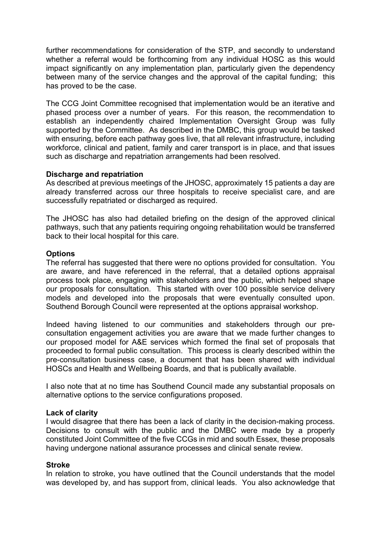further recommendations for consideration of the STP, and secondly to understand whether a referral would be forthcoming from any individual HOSC as this would impact significantly on any implementation plan, particularly given the dependency between many of the service changes and the approval of the capital funding; this has proved to be the case.

The CCG Joint Committee recognised that implementation would be an iterative and phased process over a number of years. For this reason, the recommendation to establish an independently chaired Implementation Oversight Group was fully supported by the Committee. As described in the DMBC, this group would be tasked with ensuring, before each pathway goes live, that all relevant infrastructure, including workforce, clinical and patient, family and carer transport is in place, and that issues such as discharge and repatriation arrangements had been resolved.

## Discharge and repatriation

As described at previous meetings of the JHOSC, approximately 15 patients a day are already transferred across our three hospitals to receive specialist care, and are successfully repatriated or discharged as required.

The JHOSC has also had detailed briefing on the design of the approved clinical pathways, such that any patients requiring ongoing rehabilitation would be transferred back to their local hospital for this care.

## **Options**

The referral has suggested that there were no options provided for consultation. You are aware, and have referenced in the referral, that a detailed options appraisal process took place, engaging with stakeholders and the public, which helped shape our proposals for consultation. This started with over 100 possible service delivery models and developed into the proposals that were eventually consulted upon. Southend Borough Council were represented at the options appraisal workshop.

Indeed having listened to our communities and stakeholders through our preconsultation engagement activities you are aware that we made further changes to our proposed model for A&E services which formed the final set of proposals that proceeded to formal public consultation. This process is clearly described within the pre-consultation business case, a document that has been shared with individual HOSCs and Health and Wellbeing Boards, and that is publically available.

I also note that at no time has Southend Council made any substantial proposals on alternative options to the service configurations proposed.

## Lack of clarity

I would disagree that there has been a lack of clarity in the decision-making process. Decisions to consult with the public and the DMBC were made by a properly constituted Joint Committee of the five CCGs in mid and south Essex, these proposals having undergone national assurance processes and clinical senate review.

## Stroke

In relation to stroke, you have outlined that the Council understands that the model was developed by, and has support from, clinical leads. You also acknowledge that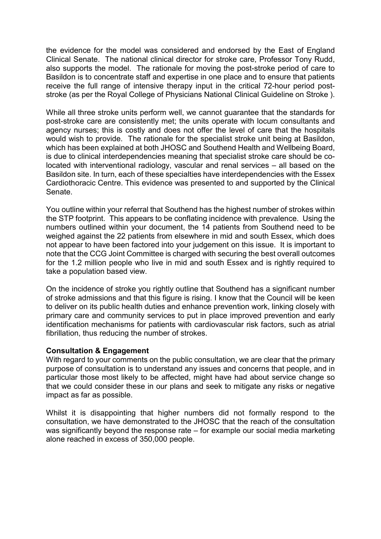the evidence for the model was considered and endorsed by the East of England Clinical Senate. The national clinical director for stroke care, Professor Tony Rudd, also supports the model. The rationale for moving the post-stroke period of care to Basildon is to concentrate staff and expertise in one place and to ensure that patients receive the full range of intensive therapy input in the critical 72-hour period poststroke (as per the Royal College of Physicians National Clinical Guideline on Stroke ).

While all three stroke units perform well, we cannot guarantee that the standards for post-stroke care are consistently met; the units operate with locum consultants and agency nurses; this is costly and does not offer the level of care that the hospitals would wish to provide. The rationale for the specialist stroke unit being at Basildon, which has been explained at both JHOSC and Southend Health and Wellbeing Board, is due to clinical interdependencies meaning that specialist stroke care should be colocated with interventional radiology, vascular and renal services – all based on the Basildon site. In turn, each of these specialties have interdependencies with the Essex Cardiothoracic Centre. This evidence was presented to and supported by the Clinical Senate.

You outline within your referral that Southend has the highest number of strokes within the STP footprint. This appears to be conflating incidence with prevalence. Using the numbers outlined within your document, the 14 patients from Southend need to be weighed against the 22 patients from elsewhere in mid and south Essex, which does not appear to have been factored into your judgement on this issue. It is important to note that the CCG Joint Committee is charged with securing the best overall outcomes for the 1.2 million people who live in mid and south Essex and is rightly required to take a population based view.

On the incidence of stroke you rightly outline that Southend has a significant number of stroke admissions and that this figure is rising. I know that the Council will be keen to deliver on its public health duties and enhance prevention work, linking closely with primary care and community services to put in place improved prevention and early identification mechanisms for patients with cardiovascular risk factors, such as atrial fibrillation, thus reducing the number of strokes.

#### Consultation & Engagement

With regard to your comments on the public consultation, we are clear that the primary purpose of consultation is to understand any issues and concerns that people, and in particular those most likely to be affected, might have had about service change so that we could consider these in our plans and seek to mitigate any risks or negative impact as far as possible.

Whilst it is disappointing that higher numbers did not formally respond to the consultation, we have demonstrated to the JHOSC that the reach of the consultation was significantly beyond the response rate – for example our social media marketing alone reached in excess of 350,000 people.